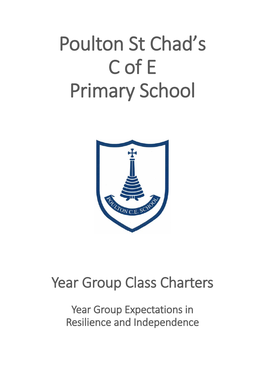# Poulton St Chad's C of E Primary School



# Year Group Class Charters

Year Group Expectations in Resilience and Independence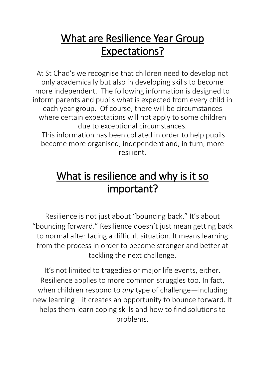### What are Resilience Year Group Expectations?

At St Chad's we recognise that children need to develop not only academically but also in developing skills to become more independent. The following information is designed to inform parents and pupils what is expected from every child in each year group. Of course, there will be circumstances where certain expectations will not apply to some children due to exceptional circumstances. This information has been collated in order to help pupils

become more organised, independent and, in turn, more resilient.

## What is resilience and why is it so important?

Resilience is not just about "bouncing back." It's about "bouncing forward." Resilience doesn't just mean getting back to normal after facing a difficult situation. It means learning from the process in order to become stronger and better at tackling the next challenge.

It's not limited to tragedies or major life events, either. Resilience applies to more common struggles too. In fact, when children respond to *any* type of challenge—including new learning—it creates an opportunity to bounce forward. It helps them learn [coping skills](https://www.understood.org/en/friends-feelings/common-challenges/self-control/developing-coping-skills-5-ways-to-help-kids-who-struggle-with-self-control) and how to find solutions to problems.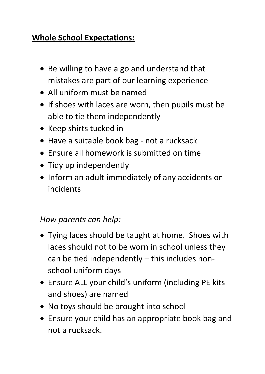#### **Whole School Expectations:**

- Be willing to have a go and understand that mistakes are part of our learning experience
- All uniform must be named
- If shoes with laces are worn, then pupils must be able to tie them independently
- Keep shirts tucked in
- Have a suitable book bag not a rucksack
- $\bullet$  Fnsure all homework is submitted on time
- Tidy up independently
- Inform an adult immediately of any accidents or incidents

#### *How parents can help:*

- Tying laces should be taught at home. Shoes with laces should not to be worn in school unless they can be tied independently – this includes nonschool uniform days
- Ensure ALL your child's uniform (including PE kits and shoes) are named
- No toys should be brought into school
- Ensure your child has an appropriate book bag and not a rucksack.